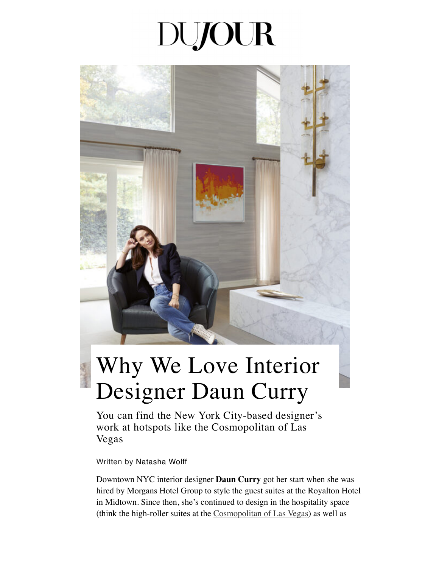## **DUJOUR**



## Why We Love Interior Designer Daun Curry

You can find the New York City-based designer's work at hotspots like the Cosmopolitan of Las Vegas

Written by [Natasha Wolff](https://dujour.com/contributors/natasha-wolff/)

Downtown NYC interior designer **[Daun Curry](http://dauncurry.com/)** got her start when she was hired by Morgans Hotel Group to style the guest suites at the Royalton Hotel in Midtown. Since then, she's continued to design in the hospitality space (think the high-roller suites at the [Cosmopolitan of Las Vegas\)](https://dujour.com/lifestyle/cosmopolitan-las-vegas-most-requested-room/) as well as